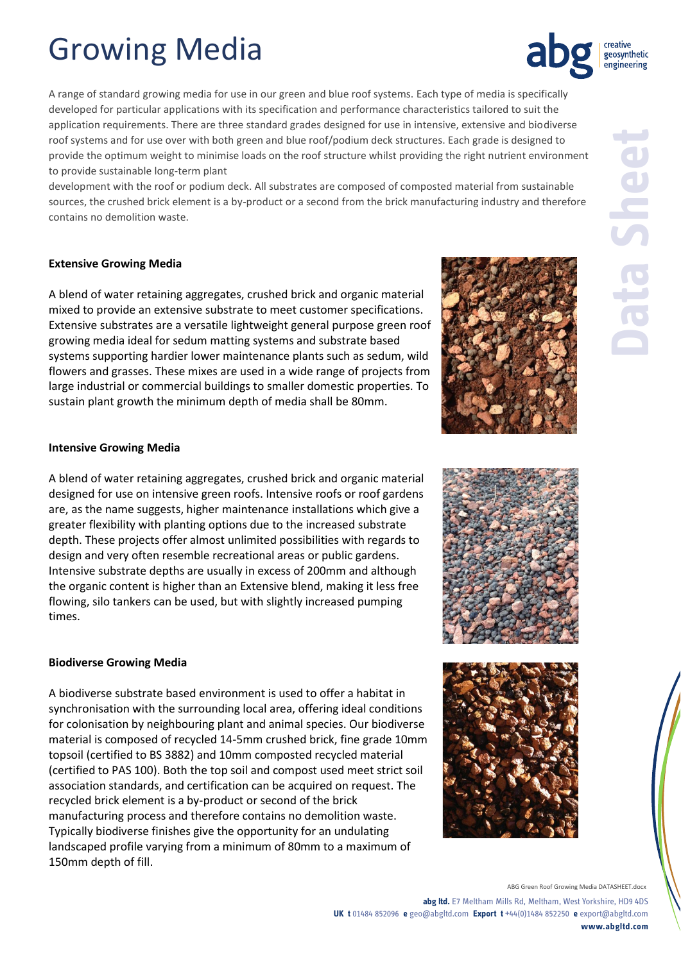# Growing Media

A range of standard growing media for use in our green and blue roof systems. Each type of media is specifically developed for particular applications with its specification and performance characteristics tailored to suit the application requirements. There are three standard grades designed for use in intensive, extensive and biodiverse roof systems and for use over with both green and blue roof/podium deck structures. Each grade is designed to provide the optimum weight to minimise loads on the roof structure whilst providing the right nutrient environment to provide sustainable long-term plant

development with the roof or podium deck. All substrates are composed of composted material from sustainable sources, the crushed brick element is a by-product or a second from the brick manufacturing industry and therefore contains no demolition waste.

# **Extensive Growing Media**

A blend of water retaining aggregates, crushed brick and organic material mixed to provide an extensive substrate to meet customer specifications. Extensive substrates are a versatile lightweight general purpose green roof growing media ideal for sedum matting systems and substrate based systems supporting hardier lower maintenance plants such as sedum, wild flowers and grasses. These mixes are used in a wide range of projects from large industrial or commercial buildings to smaller domestic properties. To sustain plant growth the minimum depth of media shall be 80mm.

# **Intensive Growing Media**

A blend of water retaining aggregates, crushed brick and organic material designed for use on intensive green roofs. Intensive roofs or roof gardens are, as the name suggests, higher maintenance installations which give a greater flexibility with planting options due to the increased substrate depth. These projects offer almost unlimited possibilities with regards to design and very often resemble recreational areas or public gardens. Intensive substrate depths are usually in excess of 200mm and although the organic content is higher than an Extensive blend, making it less free flowing, silo tankers can be used, but with slightly increased pumping times.

### **Biodiverse Growing Media**

A biodiverse substrate based environment is used to offer a habitat in synchronisation with the surrounding local area, offering ideal conditions for colonisation by neighbouring plant and animal species. Our biodiverse material is composed of recycled 14-5mm crushed brick, fine grade 10mm topsoil (certified to BS 3882) and 10mm composted recycled material (certified to PAS 100). Both the top soil and compost used meet strict soil association standards, and certification can be acquired on request. The recycled brick element is a by-product or second of the brick manufacturing process and therefore contains no demolition waste. Typically biodiverse finishes give the opportunity for an undulating landscaped profile varying from a minimum of 80mm to a maximum of 150mm depth of fill.





ABG Green Roof Growing Media DATASHEET.docx

**abg ltd.** E7 Meltham Mills Rd, Meltham, West Yorkshire, HD9 4DS **UK t** 01484 852096 **e** geo@abgltd.com **Export t** +44(0)1484 852250 **e** export@abgltd.com **www.abgltd.com**